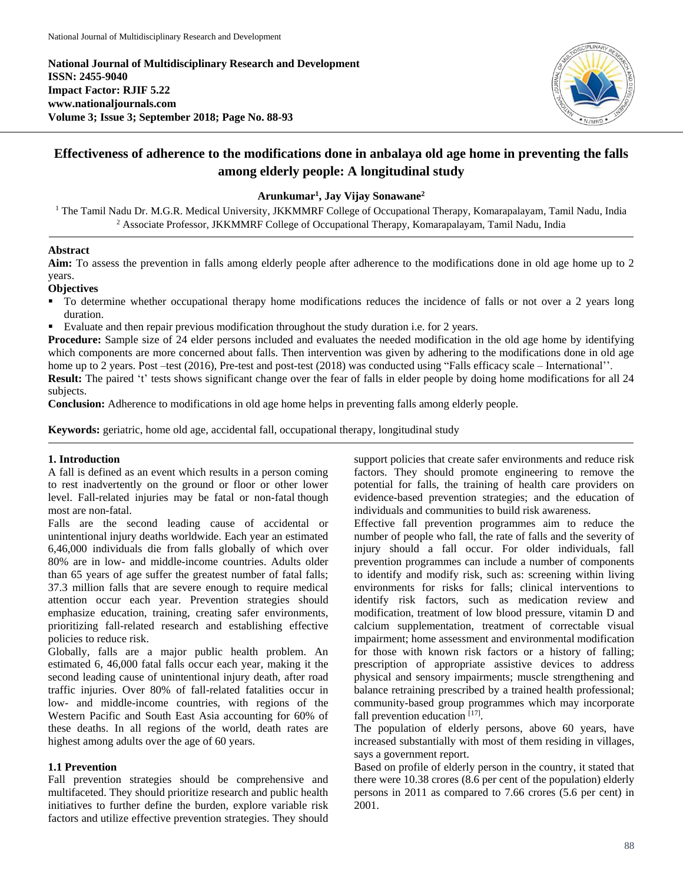**National Journal of Multidisciplinary Research and Development ISSN: 2455-9040 Impact Factor: RJIF 5.22 www.nationaljournals.com Volume 3; Issue 3; September 2018; Page No. 88-93**



# **Effectiveness of adherence to the modifications done in anbalaya old age home in preventing the falls among elderly people: A longitudinal study**

### **Arunkumar<sup>1</sup> , Jay Vijay Sonawane<sup>2</sup>**

 $1$  The Tamil Nadu Dr. M.G.R. Medical University, JKKMMRF College of Occupational Therapy, Komarapalayam, Tamil Nadu, India <sup>2</sup> Associate Professor, JKKMMRF College of Occupational Therapy, Komarapalayam, Tamil Nadu, India

## **Abstract**

**Aim:** To assess the prevention in falls among elderly people after adherence to the modifications done in old age home up to 2 years.

## **Objectives**

- To determine whether occupational therapy home modifications reduces the incidence of falls or not over a 2 years long duration.
- Evaluate and then repair previous modification throughout the study duration i.e. for 2 years.

**Procedure:** Sample size of 24 elder persons included and evaluates the needed modification in the old age home by identifying which components are more concerned about falls. Then intervention was given by adhering to the modifications done in old age home up to 2 years. Post –test (2016), Pre-test and post-test (2018) was conducted using "Falls efficacy scale – International".

**Result:** The paired 't' tests shows significant change over the fear of falls in elder people by doing home modifications for all 24 subjects.

**Conclusion:** Adherence to modifications in old age home helps in preventing falls among elderly people.

**Keywords:** geriatric, home old age, accidental fall, occupational therapy, longitudinal study

## **1. Introduction**

A fall is defined as an event which results in a person coming to rest inadvertently on the ground or floor or other lower level. Fall-related injuries may be fatal or non-fatal though most are non-fatal.

Falls are the second leading cause of accidental or unintentional injury deaths worldwide. Each year an estimated 6,46,000 individuals die from falls globally of which over 80% are in low- and middle-income countries. Adults older than 65 years of age suffer the greatest number of fatal falls; 37.3 million falls that are severe enough to require medical attention occur each year. Prevention strategies should emphasize education, training, creating safer environments, prioritizing fall-related research and establishing effective policies to reduce risk.

Globally, falls are a major public health problem. An estimated 6, 46,000 fatal falls occur each year, making it the second leading cause of unintentional injury death, after road traffic injuries. Over 80% of fall-related fatalities occur in low- and middle-income countries, with regions of the Western Pacific and South East Asia accounting for 60% of these deaths. In all regions of the world, death rates are highest among adults over the age of 60 years.

## **1.1 Prevention**

Fall prevention strategies should be comprehensive and multifaceted. They should prioritize research and public health initiatives to further define the burden, explore variable risk factors and utilize effective prevention strategies. They should

support policies that create safer environments and reduce risk factors. They should promote engineering to remove the potential for falls, the training of health care providers on evidence-based prevention strategies; and the education of individuals and communities to build risk awareness.

Effective fall prevention programmes aim to reduce the number of people who fall, the rate of falls and the severity of injury should a fall occur. For older individuals, fall prevention programmes can include a number of components to identify and modify risk, such as: screening within living environments for risks for falls; clinical interventions to identify risk factors, such as medication review and modification, treatment of low blood pressure, vitamin D and calcium supplementation, treatment of correctable visual impairment; home assessment and environmental modification for those with known risk factors or a history of falling; prescription of appropriate assistive devices to address physical and sensory impairments; muscle strengthening and balance retraining prescribed by a trained health professional; community-based group programmes which may incorporate fall prevention education [17].

The population of elderly persons, above 60 years, have increased substantially with most of them residing in villages, says a government report.

Based on profile of elderly person in the country, it stated that there were 10.38 crores (8.6 per cent of the population) elderly persons in 2011 as compared to 7.66 crores (5.6 per cent) in 2001.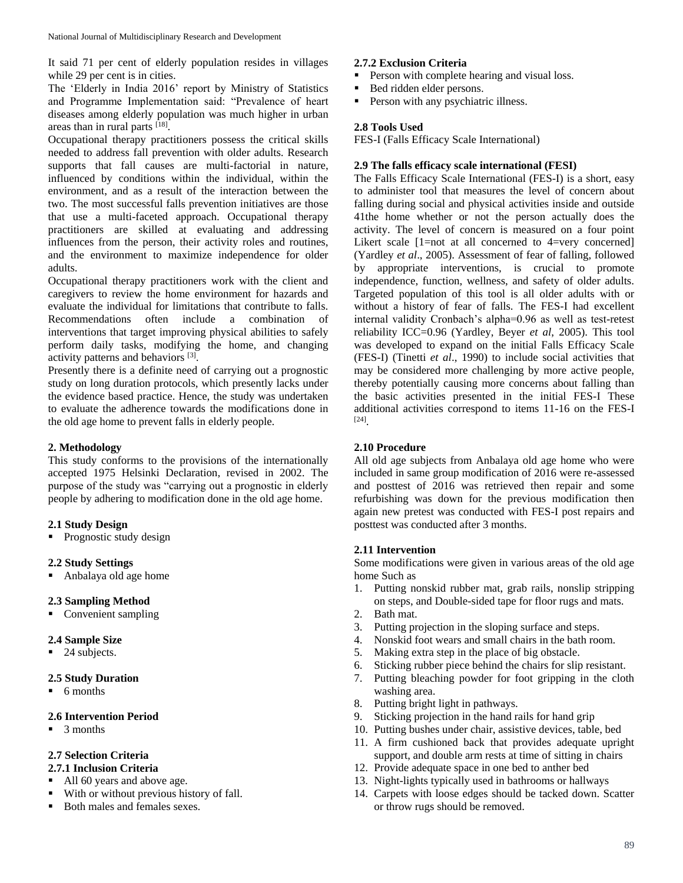It said 71 per cent of elderly population resides in villages while 29 per cent is in cities.

The 'Elderly in India 2016' report by Ministry of Statistics and Programme Implementation said: "Prevalence of heart diseases among elderly population was much higher in urban areas than in rural parts [18].

Occupational therapy practitioners possess the critical skills needed to address fall prevention with older adults. Research supports that fall causes are multi-factorial in nature, influenced by conditions within the individual, within the environment, and as a result of the interaction between the two. The most successful falls prevention initiatives are those that use a multi-faceted approach. Occupational therapy practitioners are skilled at evaluating and addressing influences from the person, their activity roles and routines, and the environment to maximize independence for older adults.

Occupational therapy practitioners work with the client and caregivers to review the home environment for hazards and evaluate the individual for limitations that contribute to falls. Recommendations often include a combination of interventions that target improving physical abilities to safely perform daily tasks, modifying the home, and changing activity patterns and behaviors [3].

Presently there is a definite need of carrying out a prognostic study on long duration protocols, which presently lacks under the evidence based practice. Hence, the study was undertaken to evaluate the adherence towards the modifications done in the old age home to prevent falls in elderly people.

### **2. Methodology**

This study conforms to the provisions of the internationally accepted 1975 Helsinki Declaration, revised in 2002. The purpose of the study was "carrying out a prognostic in elderly people by adhering to modification done in the old age home.

## **2.1 Study Design**

• Prognostic study design

### **2.2 Study Settings**

Anbalaya old age home

## **2.3 Sampling Method**

• Convenient sampling

## **2.4 Sample Size**

■ 24 subjects.

## **2.5 Study Duration**

 $\blacksquare$  6 months

## **2.6 Intervention Period**

 $\blacksquare$  3 months

## **2.7 Selection Criteria**

- **2.7.1 Inclusion Criteria**
- All 60 years and above age.
- With or without previous history of fall.
- Both males and females sexes.

## **2.7.2 Exclusion Criteria**

- Person with complete hearing and visual loss.
- Bed ridden elder persons.
- **Person with any psychiatric illness.**

## **2.8 Tools Used**

FES-I (Falls Efficacy Scale International)

## **2.9 The falls efficacy scale international (FESI)**

The Falls Efficacy Scale International (FES-I) is a short, easy to administer tool that measures the level of concern about falling during social and physical activities inside and outside 41the home whether or not the person actually does the activity. The level of concern is measured on a four point Likert scale  $[1=not$  at all concerned to  $4=very$  concerned] (Yardley *et al*., 2005). Assessment of fear of falling, followed by appropriate interventions, is crucial to promote independence, function, wellness, and safety of older adults. Targeted population of this tool is all older adults with or without a history of fear of falls. The FES-I had excellent internal validity Cronbach's alpha=0.96 as well as test-retest reliability ICC=0.96 (Yardley, Beyer *et al*, 2005). This tool was developed to expand on the initial Falls Efficacy Scale (FES-I) (Tinetti *et al*., 1990) to include social activities that may be considered more challenging by more active people, thereby potentially causing more concerns about falling than the basic activities presented in the initial FES-I These additional activities correspond to items 11-16 on the FES-I [24] .

## **2.10 Procedure**

All old age subjects from Anbalaya old age home who were included in same group modification of 2016 were re-assessed and posttest of 2016 was retrieved then repair and some refurbishing was down for the previous modification then again new pretest was conducted with FES-I post repairs and posttest was conducted after 3 months.

### **2.11 Intervention**

Some modifications were given in various areas of the old age home Such as

- 1. Putting nonskid rubber mat, grab rails, nonslip stripping on steps, and Double-sided tape for floor rugs and mats.
- 2. Bath mat.
- 3. Putting projection in the sloping surface and steps.
- 4. Nonskid foot wears and small chairs in the bath room.
- 5. Making extra step in the place of big obstacle.
- 6. Sticking rubber piece behind the chairs for slip resistant.
- 7. Putting bleaching powder for foot gripping in the cloth washing area.
- 8. Putting bright light in pathways.
- 9. Sticking projection in the hand rails for hand grip
- 10. Putting bushes under chair, assistive devices, table, bed
- 11. A firm cushioned back that provides adequate upright support, and double arm rests at time of sitting in chairs
- 12. Provide adequate space in one bed to anther bed
- 13. Night-lights typically used in bathrooms or hallways
- 14. Carpets with loose edges should be tacked down. Scatter or throw rugs should be removed.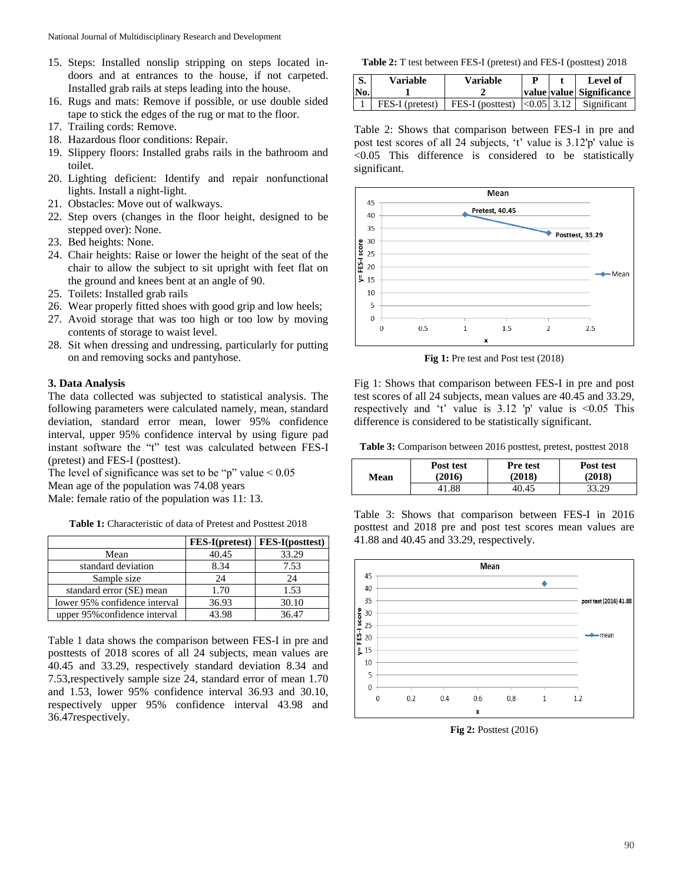- 15. Steps: Installed nonslip stripping on steps located indoors and at entrances to the house, if not carpeted. Installed grab rails at steps leading into the house.
- 16. Rugs and mats: Remove if possible, or use double sided tape to stick the edges of the rug or mat to the floor.
- 17. Trailing cords: Remove.
- 18. Hazardous floor conditions: Repair.
- 19. Slippery floors: Installed grabs rails in the bathroom and toilet.
- 20. Lighting deficient: Identify and repair nonfunctional lights. Install a night-light.
- 21. Obstacles: Move out of walkways.
- 22. Step overs (changes in the floor height, designed to be stepped over): None.
- 23. Bed heights: None.
- 24. Chair heights: Raise or lower the height of the seat of the chair to allow the subject to sit upright with feet flat on the ground and knees bent at an angle of 90.
- 25. Toilets: Installed grab rails
- 26. Wear properly fitted shoes with good grip and low heels;
- 27. Avoid storage that was too high or too low by moving contents of storage to waist level.
- 28. Sit when dressing and undressing, particularly for putting on and removing socks and pantyhose.

### **3. Data Analysis**

The data collected was subjected to statistical analysis. The following parameters were calculated namely, mean, standard deviation, standard error mean, lower 95% confidence interval, upper 95% confidence interval by using figure pad instant software the "t" test was calculated between FES-I (pretest) and FES-I (posttest).

The level of significance was set to be "p" value  $< 0.05$ Mean age of the population was 74.08 years Male: female ratio of the population was 11: 13.

**Table 1:** Characteristic of data of Pretest and Posttest 2018

|                               | FES-I(pretest) | <b>FES-I</b> (posttest) |
|-------------------------------|----------------|-------------------------|
| Mean                          | 40.45          | 33.29                   |
| standard deviation            | 8.34           | 7.53                    |
| Sample size                   | 24             | 24                      |
| standard error (SE) mean      | 1.70           | 1.53                    |
| lower 95% confidence interval | 36.93          | 30.10                   |
| upper 95% confidence interval | 43.98          | 36.47                   |

Table 1 data shows the comparison between FES-I in pre and posttests of 2018 scores of all 24 subjects, mean values are 40.45 and 33.29, respectively standard deviation 8.34 and 7.53,respectively sample size 24, standard error of mean 1.70 and 1.53, lower 95% confidence interval 36.93 and 30.10, respectively upper 95% confidence interval 43.98 and 36.47respectively.

**Table 2:** T test between FES-I (pretest) and FES-I (posttest) 2018

| $\mathsf{S}$ .<br>No. | <b>Variable</b> | <b>Variable</b>                             |  | Level of<br>  value   value   Significance |
|-----------------------|-----------------|---------------------------------------------|--|--------------------------------------------|
|                       | FES-I (pretest) | FES-I (posttest) $ <0.05 $ 3.12 Significant |  |                                            |

Table 2: Shows that comparison between FES-I in pre and post test scores of all 24 subjects, 't' value is 3.12'p' value is <0.05 This difference is considered to be statistically significant.



Fig 1: Pre test and Post test (2018)

Fig 1: Shows that comparison between FES-I in pre and post test scores of all 24 subjects, mean values are 40.45 and 33.29, respectively and 't' value is  $3.12$  'p' value is  $\leq 0.05$  This difference is considered to be statistically significant.

**Table 3:** Comparison between 2016 posttest, pretest, posttest 2018

| Mean | Post test | <b>Pre test</b> | Post test |
|------|-----------|-----------------|-----------|
|      | (2016)    | (2018)          | (2018)    |
|      | 41.88     | 40.45           | 33.29     |

Table 3: Shows that comparison between FES-I in 2016 posttest and 2018 pre and post test scores mean values are 41.88 and 40.45 and 33.29, respectively.



**Fig 2:** Posttest (2016)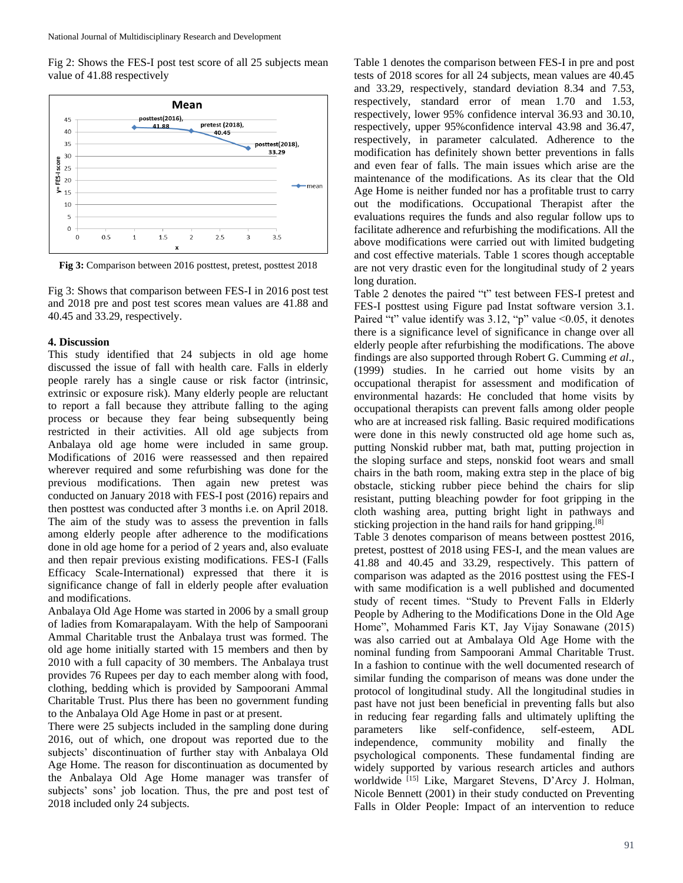Fig 2: Shows the FES-I post test score of all 25 subjects mean value of 41.88 respectively



**Fig 3:** Comparison between 2016 posttest, pretest, posttest 2018

Fig 3: Shows that comparison between FES-I in 2016 post test and 2018 pre and post test scores mean values are 41.88 and 40.45 and 33.29, respectively.

#### **4. Discussion**

This study identified that 24 subjects in old age home discussed the issue of fall with health care. Falls in elderly people rarely has a single cause or risk factor (intrinsic, extrinsic or exposure risk). Many elderly people are reluctant to report a fall because they attribute falling to the aging process or because they fear being subsequently being restricted in their activities. All old age subjects from Anbalaya old age home were included in same group. Modifications of 2016 were reassessed and then repaired wherever required and some refurbishing was done for the previous modifications. Then again new pretest was conducted on January 2018 with FES-I post (2016) repairs and then posttest was conducted after 3 months i.e. on April 2018. The aim of the study was to assess the prevention in falls among elderly people after adherence to the modifications done in old age home for a period of 2 years and, also evaluate and then repair previous existing modifications. FES-I (Falls Efficacy Scale-International) expressed that there it is significance change of fall in elderly people after evaluation and modifications.

Anbalaya Old Age Home was started in 2006 by a small group of ladies from Komarapalayam. With the help of Sampoorani Ammal Charitable trust the Anbalaya trust was formed. The old age home initially started with 15 members and then by 2010 with a full capacity of 30 members. The Anbalaya trust provides 76 Rupees per day to each member along with food, clothing, bedding which is provided by Sampoorani Ammal Charitable Trust. Plus there has been no government funding to the Anbalaya Old Age Home in past or at present.

There were 25 subjects included in the sampling done during 2016, out of which, one dropout was reported due to the subjects' discontinuation of further stay with Anbalaya Old Age Home. The reason for discontinuation as documented by the Anbalaya Old Age Home manager was transfer of subjects' sons' job location. Thus, the pre and post test of 2018 included only 24 subjects.

Table 1 denotes the comparison between FES-I in pre and post tests of 2018 scores for all 24 subjects, mean values are 40.45 and 33.29, respectively, standard deviation 8.34 and 7.53, respectively, standard error of mean 1.70 and 1.53, respectively, lower 95% confidence interval 36.93 and 30.10, respectively, upper 95%confidence interval 43.98 and 36.47, respectively, in parameter calculated. Adherence to the modification has definitely shown better preventions in falls and even fear of falls. The main issues which arise are the maintenance of the modifications. As its clear that the Old Age Home is neither funded nor has a profitable trust to carry out the modifications. Occupational Therapist after the evaluations requires the funds and also regular follow ups to facilitate adherence and refurbishing the modifications. All the above modifications were carried out with limited budgeting and cost effective materials. Table 1 scores though acceptable are not very drastic even for the longitudinal study of 2 years long duration.

Table 2 denotes the paired "t" test between FES-I pretest and FES-I posttest using Figure pad Instat software version 3.1. Paired "t" value identify was 3.12, "p" value <0.05, it denotes there is a significance level of significance in change over all elderly people after refurbishing the modifications. The above findings are also supported through Robert G. Cumming *et al*., (1999) studies. In he carried out home visits by an occupational therapist for assessment and modification of environmental hazards: He concluded that home visits by occupational therapists can prevent falls among older people who are at increased risk falling. Basic required modifications were done in this newly constructed old age home such as, putting Nonskid rubber mat, bath mat, putting projection in the sloping surface and steps, nonskid foot wears and small chairs in the bath room, making extra step in the place of big obstacle, sticking rubber piece behind the chairs for slip resistant, putting bleaching powder for foot gripping in the cloth washing area, putting bright light in pathways and sticking projection in the hand rails for hand gripping.<sup>[8]</sup>

Table 3 denotes comparison of means between posttest 2016, pretest, posttest of 2018 using FES-I, and the mean values are 41.88 and 40.45 and 33.29, respectively. This pattern of comparison was adapted as the 2016 posttest using the FES-I with same modification is a well published and documented study of recent times. "Study to Prevent Falls in Elderly People by Adhering to the Modifications Done in the Old Age Home", Mohammed Faris KT, Jay Vijay Sonawane (2015) was also carried out at Ambalaya Old Age Home with the nominal funding from Sampoorani Ammal Charitable Trust. In a fashion to continue with the well documented research of similar funding the comparison of means was done under the protocol of longitudinal study. All the longitudinal studies in past have not just been beneficial in preventing falls but also in reducing fear regarding falls and ultimately uplifting the parameters like self-confidence, self-esteem, ADL independence, community mobility and finally the psychological components. These fundamental finding are widely supported by various research articles and authors worldwide [15] Like, Margaret Stevens, D'Arcy J. Holman, Nicole Bennett (2001) in their study conducted on Preventing Falls in Older People: Impact of an intervention to reduce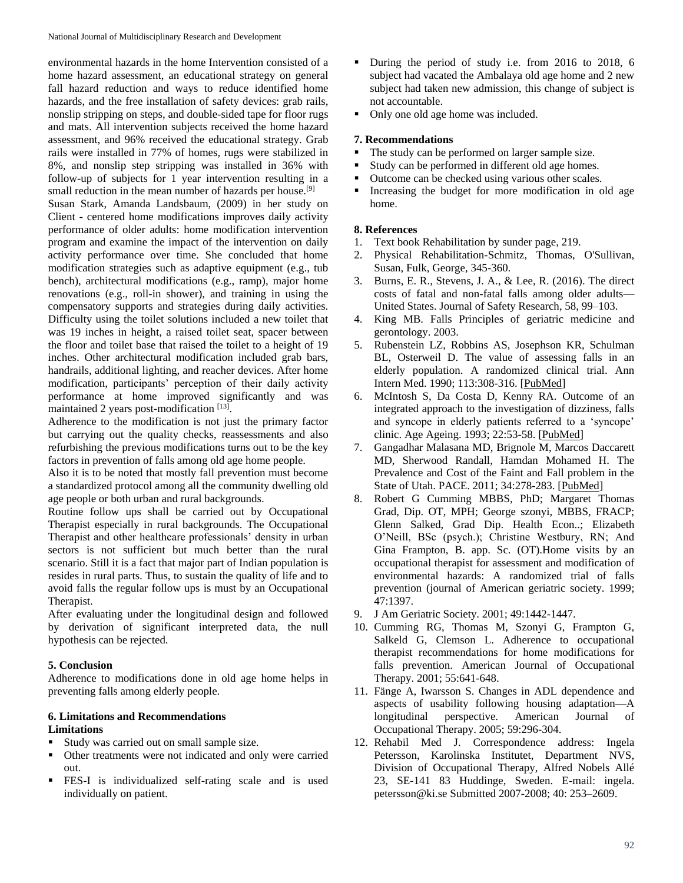environmental hazards in the home Intervention consisted of a home hazard assessment, an educational strategy on general fall hazard reduction and ways to reduce identified home hazards, and the free installation of safety devices: grab rails, nonslip stripping on steps, and double-sided tape for floor rugs and mats. All intervention subjects received the home hazard assessment, and 96% received the educational strategy. Grab rails were installed in 77% of homes, rugs were stabilized in 8%, and nonslip step stripping was installed in 36% with follow-up of subjects for 1 year intervention resulting in a small reduction in the mean number of hazards per house.<sup>[9]</sup> Susan Stark, Amanda Landsbaum, (2009) in her study on Client - centered home modifications improves daily activity performance of older adults: home modification intervention program and examine the impact of the intervention on daily activity performance over time. She concluded that home modification strategies such as adaptive equipment (e.g., tub bench), architectural modifications (e.g., ramp), major home renovations (e.g., roll-in shower), and training in using the compensatory supports and strategies during daily activities. Difficulty using the toilet solutions included a new toilet that was 19 inches in height, a raised toilet seat, spacer between the floor and toilet base that raised the toilet to a height of 19 inches. Other architectural modification included grab bars, handrails, additional lighting, and reacher devices. After home modification, participants' perception of their daily activity performance at home improved significantly and was maintained 2 years post-modification [13].

Adherence to the modification is not just the primary factor but carrying out the quality checks, reassessments and also refurbishing the previous modifications turns out to be the key factors in prevention of falls among old age home people.

Also it is to be noted that mostly fall prevention must become a standardized protocol among all the community dwelling old age people or both urban and rural backgrounds.

Routine follow ups shall be carried out by Occupational Therapist especially in rural backgrounds. The Occupational Therapist and other healthcare professionals' density in urban sectors is not sufficient but much better than the rural scenario. Still it is a fact that major part of Indian population is resides in rural parts. Thus, to sustain the quality of life and to avoid falls the regular follow ups is must by an Occupational Therapist.

After evaluating under the longitudinal design and followed by derivation of significant interpreted data, the null hypothesis can be rejected.

### **5. Conclusion**

Adherence to modifications done in old age home helps in preventing falls among elderly people.

### **6. Limitations and Recommendations Limitations**

- Study was carried out on small sample size.
- Other treatments were not indicated and only were carried out.
- FES-I is individualized self-rating scale and is used individually on patient.
- During the period of study i.e. from 2016 to 2018, 6 subject had vacated the Ambalaya old age home and 2 new subject had taken new admission, this change of subject is not accountable.
- Only one old age home was included.

## **7. Recommendations**

- The study can be performed on larger sample size.
- Study can be performed in different old age homes.
- Outcome can be checked using various other scales.
- Increasing the budget for more modification in old age home.

## **8. References**

- 1. Text book Rehabilitation by sunder page, 219.
- 2. Physical Rehabilitation-Schmitz, Thomas, O'Sullivan, Susan, Fulk, George, 345-360.
- 3. Burns, E. R., Stevens, J. A., & Lee, R. (2016). The direct costs of fatal and non-fatal falls among older adults— United States. Journal of Safety Research, 58, 99–103.
- 4. King MB. Falls Principles of geriatric medicine and gerontology. 2003.
- 5. Rubenstein LZ, Robbins AS, Josephson KR, Schulman BL, Osterweil D. The value of assessing falls in an elderly population. A randomized clinical trial. Ann Intern Med. 1990; 113:308-316. [PubMed]
- 6. McIntosh S, Da Costa D, Kenny RA. Outcome of an integrated approach to the investigation of dizziness, falls and syncope in elderly patients referred to a 'syncope' clinic. Age Ageing. 1993; 22:53-58. [PubMed]
- 7. Gangadhar Malasana MD, Brignole M, Marcos Daccarett MD, Sherwood Randall, Hamdan Mohamed H. The Prevalence and Cost of the Faint and Fall problem in the State of Utah. PACE. 2011; 34:278-283. [PubMed]
- 8. Robert G Cumming MBBS, PhD; Margaret Thomas Grad, Dip. OT, MPH; George szonyi, MBBS, FRACP; Glenn Salked, Grad Dip. Health Econ..; Elizabeth O'Neill, BSc (psych.); Christine Westbury, RN; And Gina Frampton, B. app. Sc. (OT).Home visits by an occupational therapist for assessment and modification of environmental hazards: A randomized trial of falls prevention (journal of American geriatric society. 1999; 47:1397.
- 9. J Am Geriatric Society. 2001; 49:1442-1447.
- 10. Cumming RG, Thomas M, Szonyi G, Frampton G, Salkeld G, Clemson L. Adherence to occupational therapist recommendations for home modifications for falls prevention. American Journal of Occupational Therapy. 2001; 55:641-648.
- 11. Fänge A, Iwarsson S. Changes in ADL dependence and aspects of usability following housing adaptation—A longitudinal perspective. American Journal of Occupational Therapy. 2005; 59:296-304.
- 12. Rehabil Med J. Correspondence address: Ingela Petersson, Karolinska Institutet, Department NVS, Division of Occupational Therapy, Alfred Nobels Allé 23, SE-141 83 Huddinge, Sweden. E-mail: ingela. petersson@ki.se Submitted 2007-2008; 40: 253–2609.